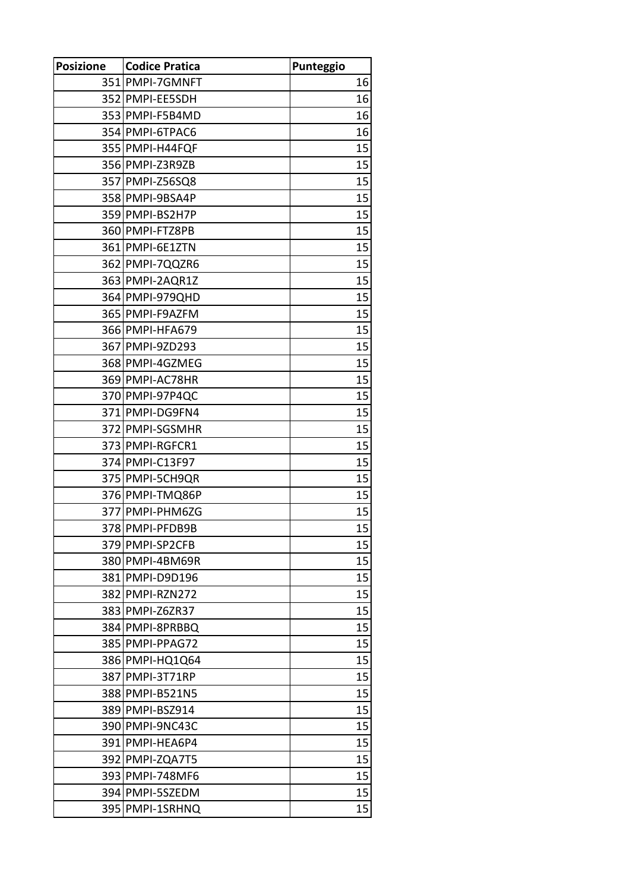| <b>Posizione</b> | <b>Codice Pratica</b> | Punteggio |
|------------------|-----------------------|-----------|
|                  | 351 PMPI-7GMNFT       | 16        |
|                  | 352 PMPI-EE5SDH       | 16        |
|                  | 353 PMPI-F5B4MD       | 16        |
|                  | 354 PMPI-6TPAC6       | 16        |
|                  | 355 PMPI-H44FQF       | 15        |
|                  | 356 PMPI-Z3R9ZB       | 15        |
|                  | 357 PMPI-Z56SQ8       | 15        |
|                  | 358 PMPI-9BSA4P       | 15        |
|                  | 359 PMPI-BS2H7P       | 15        |
|                  | 360 PMPI-FTZ8PB       | 15        |
|                  | 361 PMPI-6E1ZTN       | 15        |
|                  | 362 PMPI-7QQZR6       | 15        |
|                  | 363 PMPI-2AQR1Z       | 15        |
|                  | 364 PMPI-979 QHD      | 15        |
|                  | 365 PMPI-F9AZFM       | 15        |
|                  | 366 PMPI-HFA679       | 15        |
|                  | 367 PMPI-9ZD293       | 15        |
|                  | 368 PMPI-4GZMEG       | 15        |
|                  | 369 PMPI-AC78HR       | 15        |
|                  | 370 PMPI-97P4QC       | 15        |
|                  | 371 PMPI-DG9FN4       | 15        |
|                  | 372 PMPI-SGSMHR       | 15        |
|                  | 373 PMPI-RGFCR1       | 15        |
|                  | 374 PMPI-C13F97       | 15        |
|                  | 375 PMPI-5CH9QR       | 15        |
|                  | 376 PMPI-TMQ86P       | 15        |
|                  | 377 PMPI-PHM6ZG       | 15        |
|                  | 378 PMPI-PFDB9B       | 15        |
|                  | 379 PMPI-SP2CFB       | 15        |
|                  | 380 PMPI-4BM69R       | 15        |
|                  | 381 PMPI-D9D196       | 15        |
|                  | 382 PMPI-RZN272       | 15        |
|                  | 383 PMPI-Z6ZR37       | 15        |
|                  | 384 PMPI-8PRBBQ       | 15        |
|                  | 385 PMPI-PPAG72       | 15        |
|                  | 386 PMPI-HQ1Q64       | 15        |
|                  | 387 PMPI-3T71RP       | 15        |
|                  | 388 PMPI-B521N5       | 15        |
|                  | 389 PMPI-BSZ914       | 15        |
|                  | 390 PMPI-9NC43C       | 15        |
|                  | 391 PMPI-HEA6P4       | 15        |
|                  | 392 PMPI-ZQA7T5       | 15        |
|                  | 393 PMPI-748MF6       | 15        |
|                  | 394 PMPI-5SZEDM       | 15        |
|                  | 395 PMPI-1SRHNQ       | 15        |